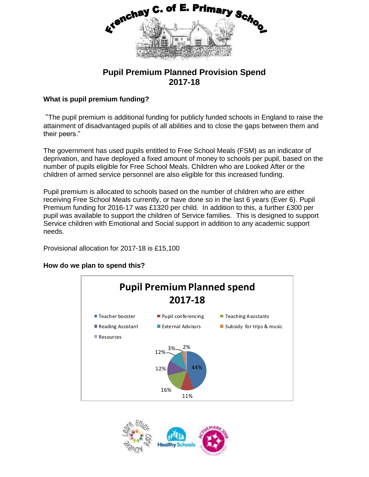

# **Pupil Premium Planned Provision Spend 2017-18**

## **What is pupil premium funding?**

"The pupil premium is additional funding for publicly funded schools in England to raise the attainment of disadvantaged pupils of all abilities and to close the gaps between them and their peers."

The government has used pupils entitled to Free School Meals (FSM) as an indicator of deprivation, and have deployed a fixed amount of money to schools per pupil, based on the number of pupils eligible for Free School Meals. Children who are Looked After or the children of armed service personnel are also eligible for this increased funding.

Pupil premium is allocated to schools based on the number of children who are either receiving Free School Meals currently, or have done so in the last 6 years (Ever 6). Pupil Premium funding for 2016-17 was £1320 per child. In addition to this, a further £300 per pupil was available to support the children of Service families. This is designed to support Service children with Emotional and Social support in addition to any academic support needs.

Provisional allocation for 2017-18 is £15,100

### **How do we plan to spend this?**



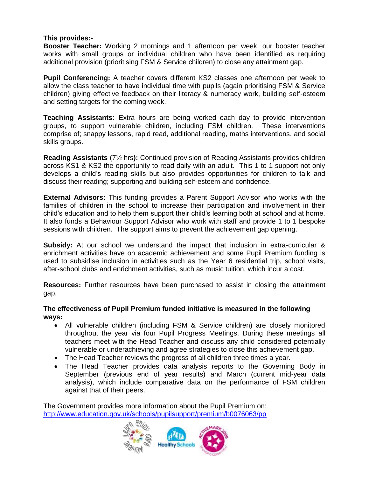### **This provides:-**

**Booster Teacher:** Working 2 mornings and 1 afternoon per week, our booster teacher works with small groups or individual children who have been identified as requiring additional provision (prioritising FSM & Service children) to close any attainment gap.

**Pupil Conferencing:** A teacher covers different KS2 classes one afternoon per week to allow the class teacher to have individual time with pupils (again prioritising FSM & Service children) giving effective feedback on their literacy & numeracy work, building self-esteem and setting targets for the coming week.

**Teaching Assistants:** Extra hours are being worked each day to provide intervention groups, to support vulnerable children, including FSM children. These interventions comprise of; snappy lessons, rapid read, additional reading, maths interventions, and social skills groups.

**Reading Assistants** (7½ hrs**):** Continued provision of Reading Assistants provides children across KS1 & KS2 the opportunity to read daily with an adult. This 1 to 1 support not only develops a child's reading skills but also provides opportunities for children to talk and discuss their reading; supporting and building self-esteem and confidence.

**External Advisors:** This funding provides a Parent Support Advisor who works with the families of children in the school to increase their participation and involvement in their child's education and to help them support their child's learning both at school and at home. It also funds a Behaviour Support Advisor who work with staff and provide 1 to 1 bespoke sessions with children. The support aims to prevent the achievement gap opening.

**Subsidy:** At our school we understand the impact that inclusion in extra-curricular & enrichment activities have on academic achievement and some Pupil Premium funding is used to subsidise inclusion in activities such as the Year 6 residential trip, school visits, after-school clubs and enrichment activities, such as music tuition, which incur a cost.

**Resources:** Further resources have been purchased to assist in closing the attainment gap.

#### **The effectiveness of Pupil Premium funded initiative is measured in the following ways:**

- All vulnerable children (including FSM & Service children) are closely monitored throughout the year via four Pupil Progress Meetings. During these meetings all teachers meet with the Head Teacher and discuss any child considered potentially vulnerable or underachieving and agree strategies to close this achievement gap.
- The Head Teacher reviews the progress of all children three times a year.
- The Head Teacher provides data analysis reports to the Governing Body in September (previous end of year results) and March (current mid-year data analysis), which include comparative data on the performance of FSM children against that of their peers.

The Government provides more information about the Pupil Premium on: <http://www.education.gov.uk/schools/pupilsupport/premium/b0076063/pp>